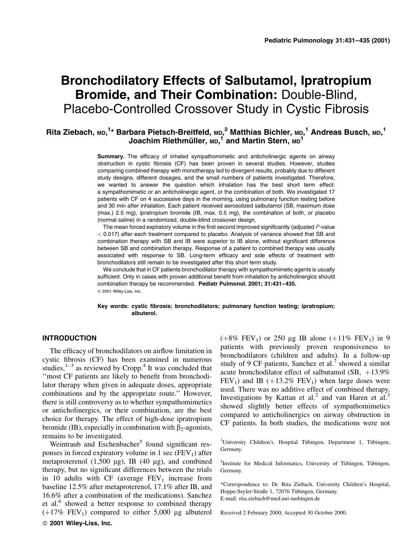# Bronchodilatory Effects of Salbutamol, Ipratropium Bromide, and Their Combination: Double-Blind, Placebo-Controlled Crossover Study in Cystic Fibrosis

# Rita Ziebach, мр,<sup>1</sup>\* Barbara Pietsch-Breitfeld, мр,<sup>2</sup> Matthias Bichler, мр,<sup>1</sup> Andreas Busch, мр,<sup>1</sup> Joachim Riethmüller, <code>mp, $^\text{1}$ </code> and Martin Stern, <code>mp $^\text{1}$ </code>

Summary. The efficacy of inhaled sympathomimetic and anticholinergic agents on airway obstruction in cystic fibrosis (CF) has been proven in several studies. However, studies comparing combined therapy with monotherapy led to divergent results, probably due to different study designs, different dosages, and the small numbers of patients investigated. Therefore, we wanted to answer the question which inhalation has the best short term effect: a sympathomimetic or an anticholinergic agent, or the combination of both. We investigated 17 patients with CF on 4 successive days in the morning, using pulmonary function testing before and 30 min after inhalation. Each patient received aerosolized salbutamol (SB, maximum dose (max.) 2.5 mg), ipratropium bromide (IB, max. 0.5 mg), the combination of both, or placebo (normal saline) in a randomized, double-blind crossover design.

The mean forced expiratory volume in the first second improved significantly (adjusted P-value < 0:017) after each treatment compared to placebo. Analysis of variance showed that SB and combination therapy with SB and IB were superior to IB alone, without significant difference between SB and combination therapy. Response of a patient to combined therapy was usually associated with response to SB. Long-term efficacy and side effects of treatment with bronchodilators still remain to be investigated after this short term study.

We conclude that in CF patients bronchodilator therapy with sympathomimetic agents is usually sufficient. Only in cases with proven additional benefit from inhalation by anticholinergics should combination therapy be recommended. Pediatr Pulmonol. 2001; 31:431-435. © 2001 Wiley-Liss, Inc.

Key words: cystic fibrosis; bronchodilators; pulmonary function testing; ipratropium; albuterol.

## INTRODUCTION

The efficacy of bronchodilators on airflow limitation in cystic fibrosis (CF) has been examined in numerous studies, $1-3$  as reviewed by Cropp.<sup>4</sup> It was concluded that "most CF patients are likely to benefit from bronchodilator therapy when given in adequate doses, appropriate combinations and by the appropriate route.'' However, there is still controversy as to whether sympathomimetics or anticholinergics, or their combination, are the best choice for therapy. The effect of high-dose ipratropium bromide (IB), especially in combination with  $\beta_2$ -agonists, remains to be investigated.

Weintraub and Eschenbacher<sup>5</sup> found significant responses in forced expiratory volume in 1 sec ( $FEV<sub>1</sub>$ ) after metaproterenol  $(1,500 \mu g)$ , IB  $(40 \mu g)$ , and combined therapy, but no significant differences between the trials in 10 adults with CF (average  $FEV<sub>1</sub>$  increase from baseline 12.5% after metaproterenol, 17.1% after IB, and 16.6% after a combination of the medications). Sanchez et al.<sup>6</sup> showed a better response to combined therapy  $(+17\% \text{ FEV}_1)$  compared to either 5,000 µg albuterol ß 2001 Wiley-Liss, Inc.

 $(+8\% \text{ FEV}_1)$  or 250 µg IB alone  $(+11\% \text{ FEV}_1)$  in 9 patients with previously proven responsiveness to bronchodilators (children and adults). In a follow-up study of 9 CF patients, Sanchez et al.<sup>7</sup> showed a similar acute bronchodilator effect of salbutamol (SB,  $+13.9\%$ )  $FEV<sub>1</sub>$ ) and IB (+13.2%  $FEV<sub>1</sub>$ ) when large doses were used. There was no additive effect of combined therapy. Investigations by Kattan et al.<sup>2</sup> and van Haren et al.<sup>3</sup> showed slightly better effects of sympathomimetics compared to anticholinergics on airway obstruction in CF patients. In both studies, the medications were not

<sup>1</sup>University Children's. Hospital Tübingen, Department 1, Tübingen, Germany.

<sup>2</sup>Institute for Medical Informatics, University of Tübingen, Tübingen, Germany.

\*Correspondence to: Dr. Rita Ziebach, University Children's Hospital, Hoppe-Seyler-Straße 1, 72076 Tübingen, Germany. E-mail: rita.ziebach@med.uni-tuebingen.de

Received 2 February 2000; Accepted 30 October 2000.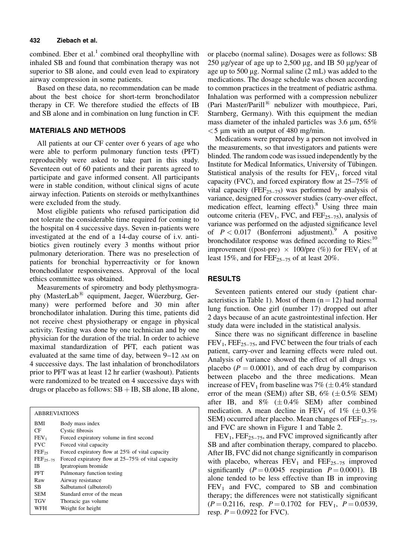#### 432 Ziebach et al.

combined. Eber et al. $<sup>1</sup>$  combined oral theophylline with</sup> inhaled SB and found that combination therapy was not superior to SB alone, and could even lead to expiratory airway compression in some patients.

Based on these data, no recommendation can be made about the best choice for short-term bronchodilator therapy in CF. We therefore studied the effects of IB and SB alone and in combination on lung function in CF.

### MATERIALS AND METHODS

All patients at our CF center over 6 years of age who were able to perform pulmonary function tests (PFT) reproducibly were asked to take part in this study. Seventeen out of 60 patients and their parents agreed to participate and gave informed consent. All participants were in stable condition, without clinical signs of acute airway infection. Patients on steroids or methylxanthines were excluded from the study.

Most eligible patients who refused participation did not tolerate the considerable time required for coming to the hospital on 4 successive days. Seven in-patients were investigated at the end of a 14-day course of i.v. antibiotics given routinely every 3 months without prior pulmonary deterioration. There was no preselection of patients for bronchial hyperreactivity or for known bronchodilator responsiveness. Approval of the local ethics committee was obtained.

Measurements of spirometry and body plethysmography (MasterLab $^{(8)}$  equipment, Jaeger, Wüerzburg, Germany) were performed before and 30 min after bronchodilator inhalation. During this time, patients did not receive chest physiotherapy or engage in physical activity. Testing was done by one technician and by one physician for the duration of the trial. In order to achieve maximal standardization of PFT, each patient was evaluated at the same time of day, between  $9-12$  AM on 4 successive days. The last inhalation of bronchodilators prior to PFT was at least 12 hr earlier (washout). Patients were randomized to be treated on 4 successive days with drugs or placebo as follows:  $SB + IB$ , SB alone, IB alone,

| <b>ABBREVIATIONS</b> |                                                    |  |  |  |
|----------------------|----------------------------------------------------|--|--|--|
| BMI                  | Body mass index                                    |  |  |  |
| CF                   | Cystic fibrosis                                    |  |  |  |
| FEV <sub>1</sub>     | Forced expiratory volume in first second           |  |  |  |
| <b>FVC</b>           | Forced vital capacity                              |  |  |  |
| $FEF_{25}$           | Forced expiratory flow at 25% of vital capacity    |  |  |  |
| $\text{FEF}_{25-75}$ | Forced expiratory flow at 25–75% of vital capacity |  |  |  |
| IB                   | Ipratropium bromide                                |  |  |  |
| PFT                  | Pulmonary function testing                         |  |  |  |
| Raw                  | Airway resistance                                  |  |  |  |
| SB.                  | Salbutamol (albuterol)                             |  |  |  |
| <b>SEM</b>           | Standard error of the mean                         |  |  |  |
| <b>TGV</b>           | Thoracic gas volume                                |  |  |  |
| WFH                  | Weight for height                                  |  |  |  |

or placebo (normal saline). Dosages were as follows: SB 250  $\mu$ g/year of age up to 2,500  $\mu$ g, and IB 50  $\mu$ g/year of age up to 500  $\mu$ g. Normal saline (2 mL) was added to the medications. The dosage schedule was chosen according to common practices in the treatment of pediatric asthma. Inhalation was performed with a compression nebulizer (Pari Master/Parill<sup>®</sup> nebulizer with mouthpiece, Pari, Starnberg, Germany). With this equipment the median mass diameter of the inhaled particles was  $3.6 \mu m$ ,  $65\%$  $<$  5 µm with an output of 480 mg/min.

Medications were prepared by a person not involved in the measurements, so that investigators and patients were blinded. The random code was issued independently by the Institute for Medical Informatics, University of Tübingen. Statistical analysis of the results for  $FEV<sub>1</sub>$ , forced vital capacity (FVC), and forced expiratory flow at  $25-75\%$  of vital capacity ( $FEF_{25-75}$ ) was performed by analysis of variance, designed for crossover studies (carry-over effect, medication effect, learning effect). $8$  Using three main outcome criteria (FEV<sub>1</sub>, FVC, and FEF<sub>25-75</sub>), analysis of variance was performed on the adjusted significance level of  $P < 0.017$  (Bonferroni adjustment). A positive bronchodilator response was defined according to Ries:<sup>10</sup> improvement ((post-pre)  $\times$  100/pre (%)) for FEV<sub>1</sub> of at least 15%, and for  $\text{FEF}_{25-75}$  of at least 20%.

### RESULTS

Seventeen patients entered our study (patient characteristics in Table 1). Most of them  $(n = 12)$  had normal lung function. One girl (number 17) dropped out after 2 days because of an acute gastrointestinal infection. Her study data were included in the statistical analysis.

Since there was no significant difference in baseline  $FEV<sub>1</sub>$ ,  $FEF<sub>25–75</sub>$ , and FVC between the four trials of each patient, carry-over and learning effects were ruled out. Analysis of variance showed the effect of all drugs vs. placebo ( $P = 0.0001$ ), and of each drug by comparison between placebo and the three medications. Mean increase of FEV<sub>1</sub> from baseline was 7% ( $\pm$  0.4% standard error of the mean (SEM)) after SB,  $6\%$  ( $\pm 0.5\%$  SEM) after IB, and  $8\%$  ( $\pm 0.4\%$  SEM) after combined medication. A mean decline in FEV<sub>1</sub> of 1% ( $\pm 0.3\%$ ) SEM) occurred after placebo. Mean changes of  $\text{FEF}_{25-75}$ , and FVC are shown in Figure 1 and Table 2.

 $FEV<sub>1</sub>$ ,  $FEF<sub>25–75</sub>$ , and FVC improved significantly after SB and after combination therapy, compared to placebo. After IB, FVC did not change significantly in comparison with placebo, whereas  $FEV_1$  and  $FEF_{25-75}$  improved significantly ( $P = 0.0045$  respiration  $P = 0.0001$ ). IB alone tended to be less effective than IB in improving  $FEV<sub>1</sub>$  and FVC, compared to SB and combination therapy; the differences were not statistically significant  $(P = 0.2116$ , resp.  $P = 0.1702$  for  $FEV_1$ ,  $P = 0.0539$ , resp.  $P = 0.0922$  for FVC).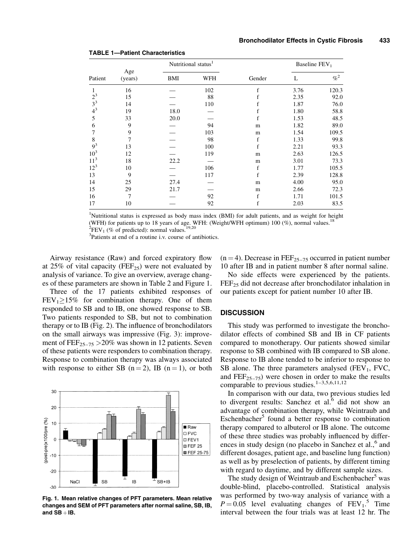|          |                | Nutritional status <sup>1</sup> |     |              | Baseline $FEV1$ |         |
|----------|----------------|---------------------------------|-----|--------------|-----------------|---------|
| Patient  | Age<br>(years) | BMI                             | WFH | Gender       | L               | $\% ^2$ |
| 1        | 16             |                                 | 102 | f            | 3.76            | 120.3   |
| $2^3$    | 15             |                                 | 88  |              | 2.35            | 92.0    |
| $3^3$    | 14             |                                 | 110 |              | 1.87            | 76.0    |
| $4^3$    | 19             | 18.0                            |     |              | 1.80            | 58.8    |
| 5        | 33             | 20.0                            |     | f            | 1.53            | 48.5    |
| 6        | 9              |                                 | 94  | m            | 1.82            | 89.0    |
| 7        | 9              |                                 | 103 | m            | 1.54            | 109.5   |
| 8        | 7              |                                 | 98  | f            | 1.33            | 99.8    |
| $9^3$    | 13             |                                 | 100 | f            | 2.21            | 93.3    |
| $10^{3}$ | 12             |                                 | 119 | m            | 2.63            | 126.5   |
| $11^3$   | 18             | 22.2                            |     | m            | 3.01            | 73.3    |
| $12^3$   | 10             |                                 | 106 | $\mathbf{f}$ | 1.77            | 105.5   |
| 13       | 9              |                                 | 117 | f            | 2.39            | 128.8   |
| 14       | 25             | 27.4                            |     | m            | 4.00            | 95.0    |
| 15       | 29             | 21.7                            |     | m            | 2.66            | 72.3    |
| 16       | 7              |                                 | 92  | f            | 1.71            | 101.5   |
| 17       | 10             |                                 | 92  | f            | 2.03            | 83.5    |

TABLE 1-Patient Characteristics

<sup>1</sup>Nutritional status is expressed as body mass index (BMI) for adult patients, and as weight for height (WFH) for patients up to 18 years of age. WFH: (Weight/WFH optimum) 100 (%), normal values.<sup>18</sup> <sup>2</sup>FEV<sub>1</sub> (% of predicted): normal values.<sup>19,20</sup>

3 Patients at end of a routine i.v. course of antibiotics.

Airway resistance (Raw) and forced expiratory flow at 25% of vital capacity (FEF<sub>25</sub>) were not evaluated by analysis of variance. To give an overview, average changes of these parameters are shown in Table 2 and Figure 1.

Three of the 17 patients exhibited responses of  $FEV<sub>1</sub> \ge 15\%$  for combination therapy. One of them responded to SB and to IB, one showed response to SB. Two patients responded to SB, but not to combination therapy or to IB (Fig. 2). The influence of bronchodilators on the small airways was impressive (Fig. 3): improvement of  $\text{FEF}_{25-75}$  > 20% was shown in 12 patients. Seven of these patients were responders to combination therapy. Response to combination therapy was always associated with response to either SB  $(n = 2)$ , IB  $(n = 1)$ , or both



Fig. 1. Mean relative changes of PFT parameters. Mean relative changes and SEM of PFT parameters after normal saline, SB, IB, and  $SB + IB$ .

 $(n = 4)$ . Decrease in FEF<sub>25-75</sub> occurred in patient number 10 after IB and in patient number 8 after normal saline.

No side effects were experienced by the patients.  $FEF<sub>25</sub>$  did not decrease after bronchodilator inhalation in our patients except for patient number 10 after IB.

#### **DISCUSSION**

This study was performed to investigate the bronchodilator effects of combined SB and IB in CF patients compared to monotherapy. Our patients showed similar response to SB combined with IB compared to SB alone. Response to IB alone tended to be inferior to response to SB alone. The three parameters analysed  $(FEV_1, FVC,$ and  $\text{FEF}_{25-75}$ ) were chosen in order to make the results comparable to previous studies. $1-3,5,6,11,12$ 

In comparison with our data, two previous studies led to divergent results: Sanchez et al. $<sup>6</sup>$  did not show an</sup> advantage of combination therapy, while Weintraub and  $Eschenbacher<sup>5</sup> found a better response to combination$ therapy compared to albuterol or IB alone. The outcome of these three studies was probably influenced by differences in study design (no placebo in Sanchez et al.,<sup>6</sup> and different dosages, patient age, and baseline lung function) as well as by preselection of patients, by different timing with regard to daytime, and by different sample sizes.

The study design of Weintraub and Eschenbacher<sup>5</sup> was double-blind, placebo-controlled. Statistical analysis was performed by two-way analysis of variance with a  $P = 0.05$  level evaluating changes of  $FEV_1$ <sup>5</sup>. Time interval between the four trials was at least 12 hr. The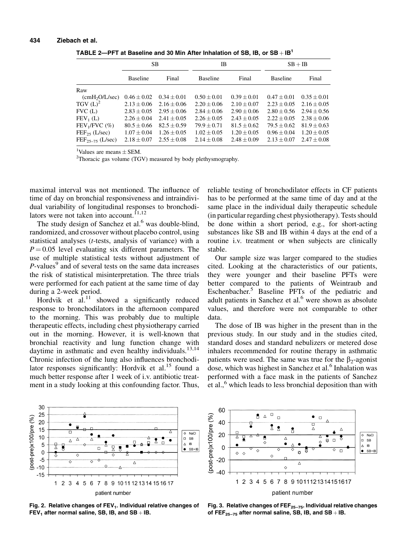| TABLE 2-PFT at Baseline and 30 Min After Inhalation of SB, IB, or $SB + IB1$ |  |
|------------------------------------------------------------------------------|--|
|------------------------------------------------------------------------------|--|

|                                | SB                          |                 | IB              |                 | $SB + IB$                   |               |
|--------------------------------|-----------------------------|-----------------|-----------------|-----------------|-----------------------------|---------------|
|                                | <b>Baseline</b>             | Final           | <b>Baseline</b> | Final           | <b>Baseline</b>             | Final         |
| Raw                            |                             |                 |                 |                 |                             |               |
| $\text{(cmH}_2\text{O/L/sec)}$ | $0.46 \pm 0.02$             | $0.34 \pm 0.01$ | $0.50 \pm 0.01$ | $0.39 + 0.01$   | $0.47 + 0.01$               | $0.35 + 0.01$ |
| TGV $(L)^2$                    | $2.13 + 0.06$ $2.16 + 0.06$ |                 | $2.20 + 0.06$   | $2.10 + 0.07$   | $2.23 + 0.05$               | $2.16 + 0.05$ |
| FVC (L)                        | $2.83 + 0.05$               | $2.95 + 0.06$   | $2.84 + 0.06$   | $2.90 + 0.06$   | $2.80 + 0.56$ $2.94 + 0.56$ |               |
| $FEV_1(L)$                     | $2.26 + 0.04$               | $2.41 + 0.05$   | $2.26 + 0.05$   | $2.43 + 0.05$   | $2.22 + 0.05$               | $2.38 + 0.06$ |
| $FEV_1/FVC$ (%)                | $80.5 + 0.66$               | $82.5 + 0.59$   | $79.9 + 0.71$   | $81.5 + 0.62$   | $79.5 + 0.62$               | $81.9 + 0.63$ |
| $FEF_{25}$ (L/sec)             | $1.07 + 0.04$               | $1.26 + 0.05$   | $1.02 + 0.05$   | $1.20 + 0.05$   | $0.96 + 0.04$               | $1.20 + 0.05$ |
| $FEF_{25-75}$ (L/sec)          | $2.18 + 0.07$               | $2.55 + 0.08$   | $2.14 \pm 0.08$ | $2.48 \pm 0.09$ | $2.13 \pm 0.07$             | $2.47 + 0.08$ |

<sup>1</sup>Values are means  $+$  SEM.

<sup>1</sup>Values are means  $\pm$  SEM.<br><sup>2</sup>Thoracic gas volume (TGV) measured by body plethysmography.

maximal interval was not mentioned. The influence of time of day on bronchial responsiveness and intraindividual variability of longitudinal responses to bronchodilators were not taken into account. $11,12$ 

The study design of Sanchez et al. $<sup>6</sup>$  was double-blind,</sup> randomized, and crossover without placebo control, using statistical analyses (t-tests, analysis of variance) with a  $P = 0.05$  level evaluating six different parameters. The use of multiple statistical tests without adjustment of  $P$ -values<sup>9</sup> and of several tests on the same data increases the risk of statistical misinterpretation. The three trials were performed for each patient at the same time of day during a 2-week period.

Hordvik et al.<sup>11</sup> showed a significantly reduced response to bronchodilators in the afternoon compared to the morning. This was probably due to multiple therapeutic effects, including chest physiotherapy carried out in the morning. However, it is well-known that bronchial reactivity and lung function change with daytime in asthmatic and even healthy individuals. $13,14$ Chronic infection of the lung also influences bronchodilator responses significantly: Hordvik et al. $15$  found a much better response after 1 week of i.v. antibiotic treatment in a study looking at this confounding factor. Thus, reliable testing of bronchodilator effects in CF patients has to be performed at the same time of day and at the same place in the individual daily therapeutic schedule (in particular regarding chest physiotherapy). Tests should be done within a short period, e.g., for short-acting substances like SB and IB within 4 days at the end of a routine i.v. treatment or when subjects are clinically stable.

Our sample size was larger compared to the studies cited. Looking at the characteristics of our patients, they were younger and their baseline PFTs were better compared to the patients of Weintraub and Eschenbacher.<sup>5</sup> Baseline PFTs of the pediatric and adult patients in Sanchez et al.<sup>6</sup> were shown as absolute values, and therefore were not comparable to other data.

The dose of IB was higher in the present than in the previous study. In our study and in the studies cited, standard doses and standard nebulizers or metered dose inhalers recommended for routine therapy in asthmatic patients were used. The same was true for the  $\beta_2$ -agonist dose, which was highest in Sanchez et al.<sup>6</sup> Inhalation was performed with a face mask in the patients of Sanchez et al.,<sup>6</sup> which leads to less bronchial deposition than with







Fig. 3. Relative changes of  $FEF_{25-75}$ . Individual relative changes of FEF<sub>25-75</sub> after normal saline, SB, IB, and SB  $+$  IB.